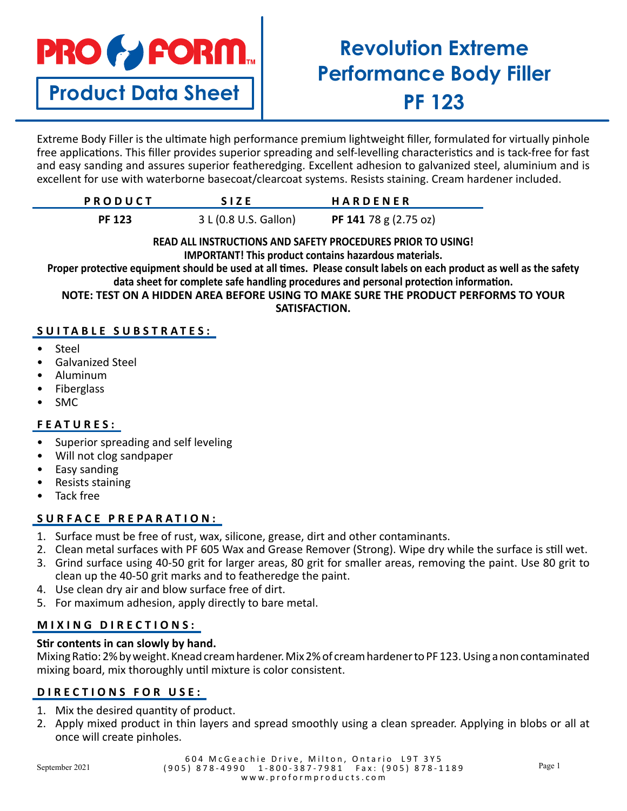# **PRO & FORM.**

# **Product Data Sheet**

# **Revolution Extreme Performance Body Filler PF 123**

Extreme Body Filler is the ultimate high performance premium lightweight filler, formulated for virtually pinhole free applications. This filler provides superior spreading and self-levelling characteristics and is tack-free for fast and easy sanding and assures superior featheredging. Excellent adhesion to galvanized steel, aluminium and is excellent for use with waterborne basecoat/clearcoat systems. Resists staining. Cream hardener included.

| <b>PRODUCT</b> | <b>SIZE</b>           | <b>HARDENER</b>       |
|----------------|-----------------------|-----------------------|
| <b>PF 123</b>  | 3 L (0.8 U.S. Gallon) | PF 141 78 g (2.75 oz) |

#### **READ ALL INSTRUCTIONS AND SAFETY PROCEDURES PRIOR TO USING! IMPORTANT! This product contains hazardous materials.**

**Proper protective equipment should be used at all times. Please consult labels on each product as well as the safety data sheet for complete safe handling procedures and personal protection information.**

**NOTE: TEST ON A HIDDEN AREA BEFORE USING TO MAKE SURE THE PRODUCT PERFORMS TO YOUR SATISFACTION.**

# **SUITABLE SUBSTRATES:**

- **Steel**
- Galvanized Steel
- Aluminum
- **Fiberglass**
- SMC

# **FEATURES:**

- Superior spreading and self leveling
- Will not clog sandpaper
- Easy sanding
- Resists staining
- Tack free

# **SURFACE PREPARATION:**

- 1. Surface must be free of rust, wax, silicone, grease, dirt and other contaminants.
- 2. Clean metal surfaces with PF 605 Wax and Grease Remover (Strong). Wipe dry while the surface is still wet.
- 3. Grind surface using 40-50 grit for larger areas, 80 grit for smaller areas, removing the paint. Use 80 grit to clean up the 40-50 grit marks and to featheredge the paint.
- 4. Use clean dry air and blow surface free of dirt.
- 5. For maximum adhesion, apply directly to bare metal.

# **MIXING DIRECTIONS:**

### **Stir contents in can slowly by hand.**

Mixing Ratio: 2% by weight. Knead cream hardener. Mix 2% of cream hardener to PF 123. Using a non contaminated mixing board, mix thoroughly until mixture is color consistent.

# **DIRECTIONS FOR USE:**

- 1. Mix the desired quantity of product.
- 2. Apply mixed product in thin layers and spread smoothly using a clean spreader. Applying in blobs or all at once will create pinholes.